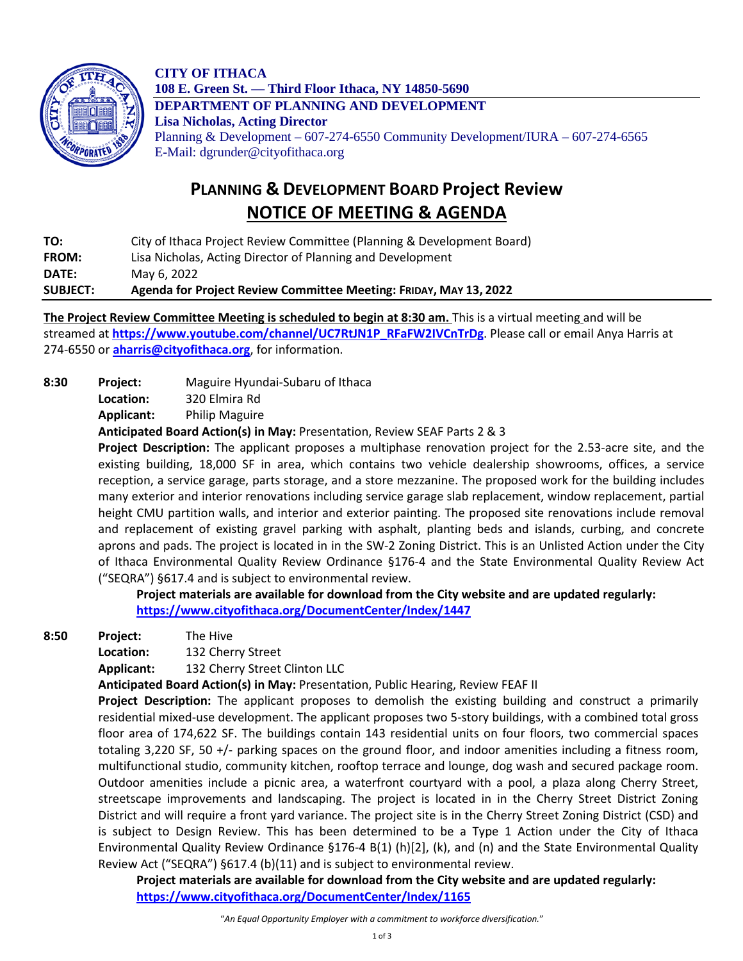

**CITY OF ITHACA 108 E. Green St. — Third Floor Ithaca, NY 14850-5690 DEPARTMENT OF PLANNING AND DEVELOPMENT Lisa Nicholas, Acting Director** Planning & Development – 607-274-6550 Community Development/IURA – 607-274-6565 E-Mail: dgrunder@cityofithaca.org

## **PLANNING & DEVELOPMENT BOARD Project Review NOTICE OF MEETING & AGENDA**

**TO:** City of Ithaca Project Review Committee (Planning & Development Board) **FROM:** Lisa Nicholas, Acting Director of Planning and Development **DATE:** May 6, 2022

**SUBJECT: Agenda for Project Review Committee Meeting: FRIDAY, MAY 13, 2022**

**The Project Review Committee Meeting is scheduled to begin at 8:30 am.** This is a virtual meeting and will be streamed at **[https://www.youtube.com/channel/UC7RtJN1P\\_RFaFW2IVCnTrDg](https://www.youtube.com/channel/UC7RtJN1P_RFaFW2IVCnTrDg)**. Please call or email Anya Harris at 274-6550 or **[aharris@cityofithaca.org](mailto:aharris@cityofithaca.org)**, for information.

**8:30 Project:** Maguire Hyundai-Subaru of Ithaca

**Location:** 320 Elmira Rd

**Applicant:** Philip Maguire

**Anticipated Board Action(s) in May:** Presentation, Review SEAF Parts 2 & 3

**Project Description:** The applicant proposes a multiphase renovation project for the 2.53-acre site, and the existing building, 18,000 SF in area, which contains two vehicle dealership showrooms, offices, a service reception, a service garage, parts storage, and a store mezzanine. The proposed work for the building includes many exterior and interior renovations including service garage slab replacement, window replacement, partial height CMU partition walls, and interior and exterior painting. The proposed site renovations include removal and replacement of existing gravel parking with asphalt, planting beds and islands, curbing, and concrete aprons and pads. The project is located in in the SW-2 Zoning District. This is an Unlisted Action under the City of Ithaca Environmental Quality Review Ordinance §176-4 and the State Environmental Quality Review Act ("SEQRA") §617.4 and is subject to environmental review.

**Project materials are available for download from the City website and are updated regularly: <https://www.cityofithaca.org/DocumentCenter/Index/1447>**

**8:50 Project:** The Hive

**Location:** 132 Cherry Street

**Applicant:** 132 Cherry Street Clinton LLC

**Anticipated Board Action(s) in May:** Presentation, Public Hearing, Review FEAF II

**Project Description:** The applicant proposes to demolish the existing building and construct a primarily residential mixed-use development. The applicant proposes two 5-story buildings, with a combined total gross floor area of 174,622 SF. The buildings contain 143 residential units on four floors, two commercial spaces totaling 3,220 SF, 50 +/- parking spaces on the ground floor, and indoor amenities including a fitness room, multifunctional studio, community kitchen, rooftop terrace and lounge, dog wash and secured package room. Outdoor amenities include a picnic area, a waterfront courtyard with a pool, a plaza along Cherry Street, streetscape improvements and landscaping. The project is located in in the Cherry Street District Zoning District and will require a front yard variance. The project site is in the Cherry Street Zoning District (CSD) and is subject to Design Review. This has been determined to be a Type 1 Action under the City of Ithaca Environmental Quality Review Ordinance §176-4 B(1) (h)[2], (k), and (n) and the State Environmental Quality Review Act ("SEQRA") §617.4 (b)(11) and is subject to environmental review.

**Project materials are available for download from the City website and are updated regularly: <https://www.cityofithaca.org/DocumentCenter/Index/1165>**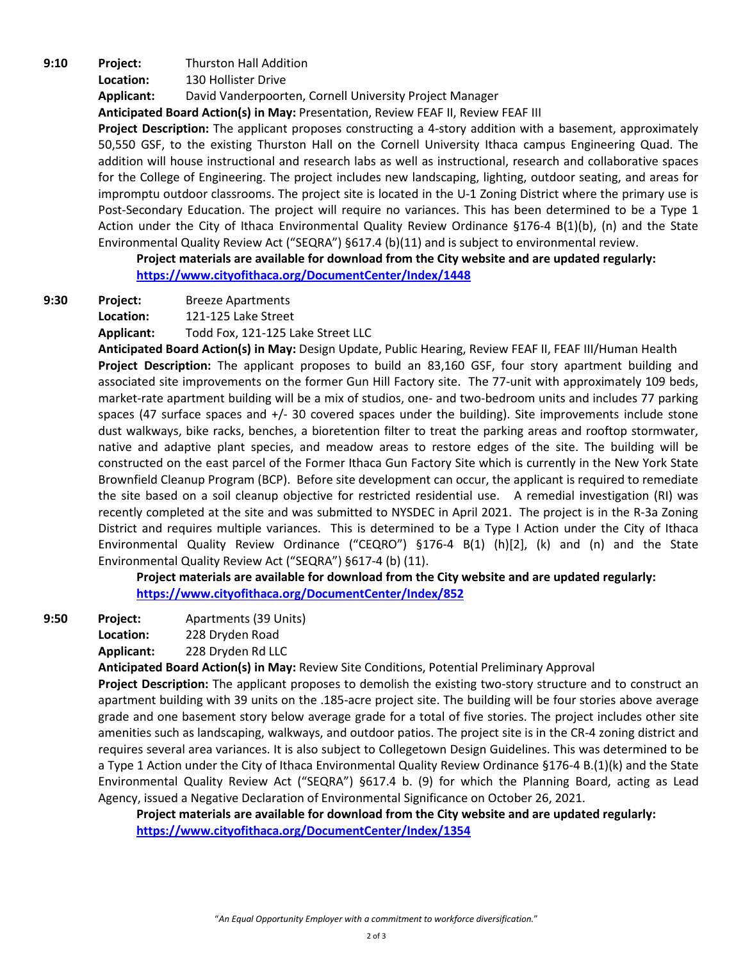**9:10 Project:** Thurston Hall Addition **Location:** 130 Hollister Drive **Applicant:** David Vanderpoorten, Cornell University Project Manager **Anticipated Board Action(s) in May:** Presentation, Review FEAF II, Review FEAF III

**Project Description:** The applicant proposes constructing a 4-story addition with a basement, approximately 50,550 GSF, to the existing Thurston Hall on the Cornell University Ithaca campus Engineering Quad. The addition will house instructional and research labs as well as instructional, research and collaborative spaces for the College of Engineering. The project includes new landscaping, lighting, outdoor seating, and areas for impromptu outdoor classrooms. The project site is located in the U-1 Zoning District where the primary use is Post-Secondary Education. The project will require no variances. This has been determined to be a Type 1 Action under the City of Ithaca Environmental Quality Review Ordinance §176-4 B(1)(b), (n) and the State Environmental Quality Review Act ("SEQRA") §617.4 (b)(11) and is subject to environmental review.

**Project materials are available for download from the City website and are updated regularly: <https://www.cityofithaca.org/DocumentCenter/Index/1448>**

**9:30 Project:** Breeze Apartments

**Location:** 121-125 Lake Street

**Applicant:** Todd Fox, 121-125 Lake Street LLC

**Anticipated Board Action(s) in May:** Design Update, Public Hearing, Review FEAF II, FEAF III/Human Health **Project Description:** The applicant proposes to build an 83,160 GSF, four story apartment building and associated site improvements on the former Gun Hill Factory site. The 77-unit with approximately 109 beds, market-rate apartment building will be a mix of studios, one- and two-bedroom units and includes 77 parking spaces (47 surface spaces and +/- 30 covered spaces under the building). Site improvements include stone dust walkways, bike racks, benches, a bioretention filter to treat the parking areas and rooftop stormwater, native and adaptive plant species, and meadow areas to restore edges of the site. The building will be constructed on the east parcel of the Former Ithaca Gun Factory Site which is currently in the New York State Brownfield Cleanup Program (BCP). Before site development can occur, the applicant is required to remediate the site based on a soil cleanup objective for restricted residential use. A remedial investigation (RI) was recently completed at the site and was submitted to NYSDEC in April 2021. The project is in the R-3a Zoning District and requires multiple variances. This is determined to be a Type I Action under the City of Ithaca Environmental Quality Review Ordinance ("CEQRO") §176-4 B(1) (h)[2], (k) and (n) and the State Environmental Quality Review Act ("SEQRA") §617-4 (b) (11).

**Project materials are available for download from the City website and are updated regularly: <https://www.cityofithaca.org/DocumentCenter/Index/852>**

**9:50 Project:** Apartments (39 Units)

**Location:** 228 Dryden Road

**Applicant:** 228 Dryden Rd LLC

**Anticipated Board Action(s) in May:** Review Site Conditions, Potential Preliminary Approval

**Project Description:** The applicant proposes to demolish the existing two-story structure and to construct an apartment building with 39 units on the .185-acre project site. The building will be four stories above average grade and one basement story below average grade for a total of five stories. The project includes other site amenities such as landscaping, walkways, and outdoor patios. The project site is in the CR-4 zoning district and requires several area variances. It is also subject to Collegetown Design Guidelines. This was determined to be a Type 1 Action under the City of Ithaca Environmental Quality Review Ordinance §176-4 B.(1)(k) and the State Environmental Quality Review Act ("SEQRA") §617.4 b. (9) for which the Planning Board, acting as Lead Agency, issued a Negative Declaration of Environmental Significance on October 26, 2021.

**Project materials are available for download from the City website and are updated regularly: <https://www.cityofithaca.org/DocumentCenter/Index/1354>**